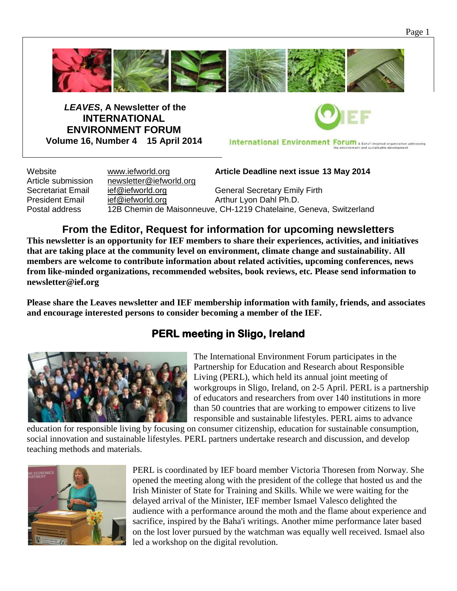

*LEAVES***, A Newsletter of the INTERNATIONAL ENVIRONMENT FORUM Volume 16, Number 4 15 April 2014**



International Environment Forum A Baha'i Inspired organization addressing

Article submission [newsletter@iefworld.org](mailto:newsletter@iefworld.org)

Website [www.iefworld.org](http://www.iefworld.org/) **Article Deadline next issue 13 May 2014**

Secretariat Email [ief@iefworld.org](mailto:ief@iefworld.org) General Secretary Emily Firth President Email [ief@iefworld.org](mailto:ief@iefworld.org) **Arthur Lyon Dahl Ph.D.** Postal address 12B Chemin de Maisonneuve, CH-1219 Chatelaine, Geneva, Switzerland

**From the Editor, Request for information for upcoming newsletters This newsletter is an opportunity for IEF members to share their experiences, activities, and initiatives that are taking place at the community level on environment, climate change and sustainability. All members are welcome to contribute information about related activities, upcoming conferences, news from like-minded organizations, recommended websites, book reviews, etc. Please send information to [newsletter@ief.org](mailto:newsletter@ief.org)**

**Please share the Leaves newsletter and IEF membership information with family, friends, and associates and encourage interested persons to consider becoming a member of the IEF.**

## **PERL meeting in Sligo, Ireland**



The International Environment Forum participates in the Partnership for Education and Research about Responsible Living (PERL), which held its annual joint meeting of workgroups in Sligo, Ireland, on 2-5 April. PERL is a partnership of educators and researchers from over 140 institutions in more than 50 countries that are working to empower citizens to live responsible and sustainable lifestyles. PERL aims to advance

education for responsible living by focusing on consumer citizenship, education for sustainable consumption, social innovation and sustainable lifestyles. PERL partners undertake research and discussion, and develop teaching methods and materials.



PERL is coordinated by IEF board member Victoria Thoresen from Norway. She opened the meeting along with the president of the college that hosted us and the Irish Minister of State for Training and Skills. While we were waiting for the delayed arrival of the Minister, IEF member Ismael Valesco delighted the audience with a performance around the moth and the flame about experience and sacrifice, inspired by the Baha'i writings. Another mime performance later based on the lost lover pursued by the watchman was equally well received. Ismael also led a workshop on the digital revolution.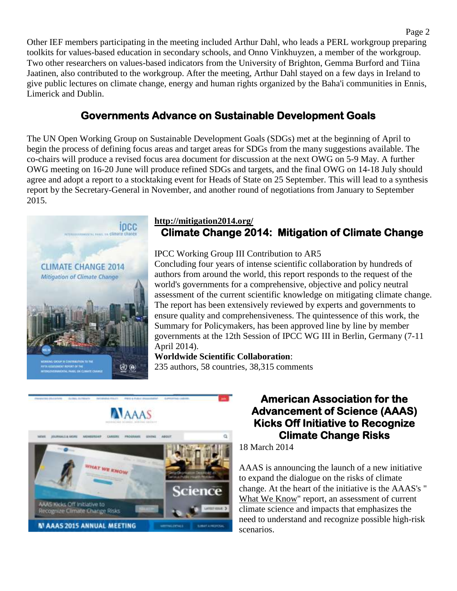Other IEF members participating in the meeting included Arthur Dahl, who leads a PERL workgroup preparing toolkits for values-based education in secondary schools, and Onno Vinkhuyzen, a member of the workgroup. Two other researchers on values-based indicators from the University of Brighton, Gemma Burford and Tiina Jaatinen, also contributed to the workgroup. After the meeting, Arthur Dahl stayed on a few days in Ireland to give public lectures on climate change, energy and human rights organized by the Baha'i communities in Ennis, Limerick and Dublin.

### **Governments Advance on Sustainable Development Goals**

The UN Open Working Group on Sustainable Development Goals (SDGs) met at the beginning of April to begin the process of defining focus areas and target areas for SDGs from the many suggestions available. The co-chairs will produce a revised focus area document for discussion at the next OWG on 5-9 May. A further OWG meeting on 16-20 June will produce refined SDGs and targets, and the final OWG on 14-18 July should agree and adopt a report to a stocktaking event for Heads of State on 25 September. This will lead to a synthesis report by the Secretary-General in November, and another round of negotiations from January to September 2015.



## **<http://mitigation2014.org/>**

# **Climate Change 2014: Mitigation of Climate Change**

IPCC Working Group III Contribution to AR5

Concluding four years of intense scientific collaboration by hundreds of authors from around the world, this report responds to the request of the world's governments for a comprehensive, objective and policy neutral assessment of the current scientific knowledge on mitigating climate change. The report has been extensively reviewed by experts and governments to ensure quality and comprehensiveness. The quintessence of this work, the Summary for Policymakers, has been approved line by line by member governments at the 12th Session of IPCC WG III in Berlin, Germany (7-11 April 2014).

## **Worldwide Scientific Collaboration**:

235 authors, 58 countries, 38,315 comments



#### **American Association for the Advancement of Science (AAAS) Kicks Off Initiative to Recognize Climate Change Risks**

18 March 2014

AAAS is announcing the launch of a new initiative to expand the dialogue on the risks of climate change. At the heart of the initiative is the AAAS's " [What We Know"](http://whatweknow.aaas.org/) report, an assessment of current climate science and impacts that emphasizes the need to understand and recognize possible high-risk scenarios.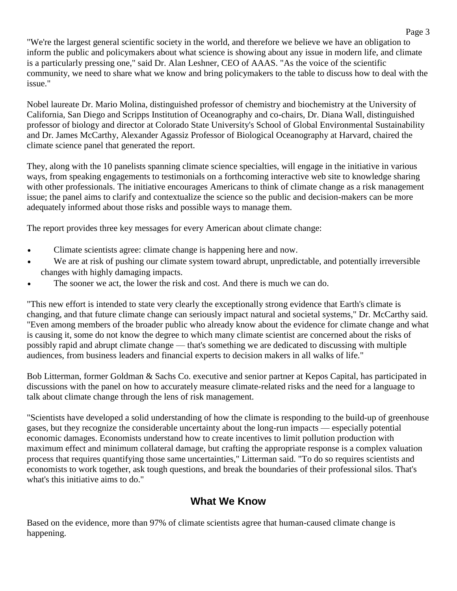"We're the largest general scientific society in the world, and therefore we believe we have an obligation to inform the public and policymakers about what science is showing about any issue in modern life, and climate is a particularly pressing one," said Dr. Alan Leshner, CEO of AAAS. "As the voice of the scientific community, we need to share what we know and bring policymakers to the table to discuss how to deal with the issue."

Nobel laureate Dr. Mario Molina, distinguished professor of chemistry and biochemistry at the University of California, San Diego and Scripps Institution of Oceanography and co-chairs, Dr. Diana Wall, distinguished professor of biology and director at Colorado State University's School of Global Environmental Sustainability and Dr. James McCarthy, Alexander Agassiz Professor of Biological Oceanography at Harvard, chaired the climate science panel that generated the report.

They, along with the 10 panelists spanning climate science specialties, will engage in the initiative in various ways, from speaking engagements to testimonials on a forthcoming interactive web site to knowledge sharing with other professionals. The initiative encourages Americans to think of climate change as a risk management issue; the panel aims to clarify and contextualize the science so the public and decision-makers can be more adequately informed about those risks and possible ways to manage them.

The report provides three key messages for every American about climate change:

- Climate scientists agree: climate change is happening here and now.
- We are at risk of pushing our climate system toward abrupt, unpredictable, and potentially irreversible changes with highly damaging impacts.
- The sooner we act, the lower the risk and cost. And there is much we can do.

"This new effort is intended to state very clearly the exceptionally strong evidence that Earth's climate is changing, and that future climate change can seriously impact natural and societal systems," Dr. McCarthy said. "Even among members of the broader public who already know about the evidence for climate change and what is causing it, some do not know the degree to which many climate scientist are concerned about the risks of possibly rapid and abrupt climate change — that's something we are dedicated to discussing with multiple audiences, from business leaders and financial experts to decision makers in all walks of life."

Bob Litterman, former Goldman & Sachs Co. executive and senior partner at Kepos Capital, has participated in discussions with the panel on how to accurately measure climate-related risks and the need for a language to talk about climate change through the lens of risk management.

"Scientists have developed a solid understanding of how the climate is responding to the build-up of greenhouse gases, but they recognize the considerable uncertainty about the long-run impacts — especially potential economic damages. Economists understand how to create incentives to limit pollution production with maximum effect and minimum collateral damage, but crafting the appropriate response is a complex valuation process that requires quantifying those same uncertainties," Litterman said. "To do so requires scientists and economists to work together, ask tough questions, and break the boundaries of their professional silos. That's what's this initiative aims to do."

## **What We Know**

Based on the evidence, more than 97% of climate scientists agree that human-caused climate change is happening.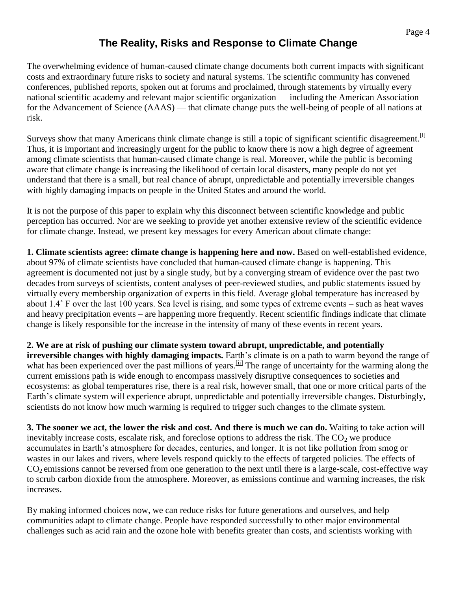#### **The Reality, Risks and Response to Climate Change**

The overwhelming evidence of human-caused climate change documents both current impacts with significant costs and extraordinary future risks to society and natural systems. The scientific community has convened conferences, published reports, spoken out at forums and proclaimed, through statements by virtually every national scientific academy and relevant major scientific organization — including the American Association for the Advancement of Science (AAAS) — that climate change puts the well-being of people of all nations at risk.

Surveys show that many Americans think climate change is still a topic of significant scientific disagreement.<sup>[\[i\]](http://whatweknow.aaas.org/get-the-facts/#fn1)</sup> Thus, it is important and increasingly urgent for the public to know there is now a high degree of agreement among climate scientists that human-caused climate change is real. Moreover, while the public is becoming aware that climate change is increasing the likelihood of certain local disasters, many people do not yet understand that there is a small, but real chance of abrupt, unpredictable and potentially irreversible changes with highly damaging impacts on people in the United States and around the world.

It is not the purpose of this paper to explain why this disconnect between scientific knowledge and public perception has occurred. Nor are we seeking to provide yet another extensive review of the scientific evidence for climate change. Instead, we present key messages for every American about climate change:

**1. Climate scientists agree: climate change is happening here and now.** Based on well-established evidence, about 97% of climate scientists have concluded that human-caused climate change is happening. This agreement is documented not just by a single study, but by a converging stream of evidence over the past two decades from surveys of scientists, content analyses of peer-reviewed studies, and public statements issued by virtually every membership organization of experts in this field. Average global temperature has increased by about 1.4˚ F over the last 100 years. Sea level is rising, and some types of extreme events – such as heat waves and heavy precipitation events – are happening more frequently. Recent scientific findings indicate that climate change is likely responsible for the increase in the intensity of many of these events in recent years.

**2. We are at risk of pushing our climate system toward abrupt, unpredictable, and potentially irreversible changes with highly damaging impacts.** Earth's climate is on a path to warm beyond the range of what has been experienced over the past millions of years.<sup>[\[ii\]](http://whatweknow.aaas.org/get-the-facts/#fn2)</sup> The range of uncertainty for the warming along the current emissions path is wide enough to encompass massively disruptive consequences to societies and ecosystems: as global temperatures rise, there is a real risk, however small, that one or more critical parts of the Earth's climate system will experience abrupt, unpredictable and potentially irreversible changes. Disturbingly, scientists do not know how much warming is required to trigger such changes to the climate system.

**3. The sooner we act, the lower the risk and cost. And there is much we can do.** Waiting to take action will inevitably increase costs, escalate risk, and foreclose options to address the risk. The  $CO<sub>2</sub>$  we produce accumulates in Earth's atmosphere for decades, centuries, and longer. It is not like pollution from smog or wastes in our lakes and rivers, where levels respond quickly to the effects of targeted policies. The effects of  $CO<sub>2</sub>$  emissions cannot be reversed from one generation to the next until there is a large-scale, cost-effective way to scrub carbon dioxide from the atmosphere. Moreover, as emissions continue and warming increases, the risk increases.

By making informed choices now, we can reduce risks for future generations and ourselves, and help communities adapt to climate change. People have responded successfully to other major environmental challenges such as acid rain and the ozone hole with benefits greater than costs, and scientists working with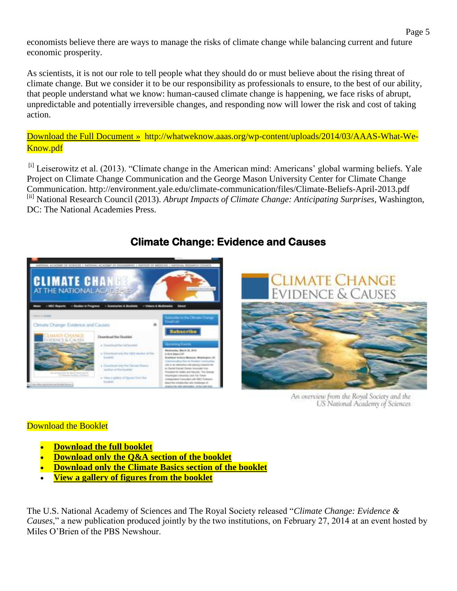economists believe there are ways to manage the risks of climate change while balancing current and future economic prosperity.

As scientists, it is not our role to tell people what they should do or must believe about the rising threat of climate change. But we consider it to be our responsibility as professionals to ensure, to the best of our ability, that people understand what we know: human-caused climate change is happening, we face risks of abrupt, unpredictable and potentially irreversible changes, and responding now will lower the risk and cost of taking action.

[Download the Full Document »](http://whatweknow.aaas.org/wp-content/uploads/2014/03/AAAS-What-We-Know.pdf) http://whatweknow.aaas.org/wp-content/uploads/2014/03/AAAS-What-We-Know.pdf

<sup>[i]</sup> Leiserowitz et al. (2013). "Climate change in the American mind: Americans' global warming beliefs. Yale Project on Climate Change Communication and the George Mason University Center for Climate Change Communication. http://environment.yale.edu/climate-communication/files/Climate-Beliefs-April-2013.pdf [ii] National Research Council (2013). *Abrupt Impacts of Climate Change: Anticipating Surprises,* Washington, DC: The National Academies Press.

## **Climate Change: Evidence and Causes**





An overview from the Royal Society and the US National Academy of Sciences

#### Download the Booklet

- **[Download the full booklet](http://dels.nas.edu/resources/static-assets/exec-office-other/climate-change-full.pdf)**
- **[Download only the Q&A section of the booklet](http://dels.nas.edu/resources/static-assets/exec-office-other/climate-change-QA.pdf)**
- **[Download only the Climate Basics section of the booklet](http://dels.nas.edu/resources/static-assets/exec-office-other/climate-change-basics.pdf)**
- **[View a gallery of figures from the booklet](http://nas-sites.org/americasclimatechoices/more-resources-on-climate-change/climate-change-evidence-and-causes/climate-change-evidence-and-causes-figure-gallery/)**

The U.S. National Academy of Sciences and The Royal Society released "*Climate Change: Evidence & Causes*," a new publication produced jointly by the two institutions, on February 27, 2014 at an event hosted by Miles O'Brien of the PBS Newshour.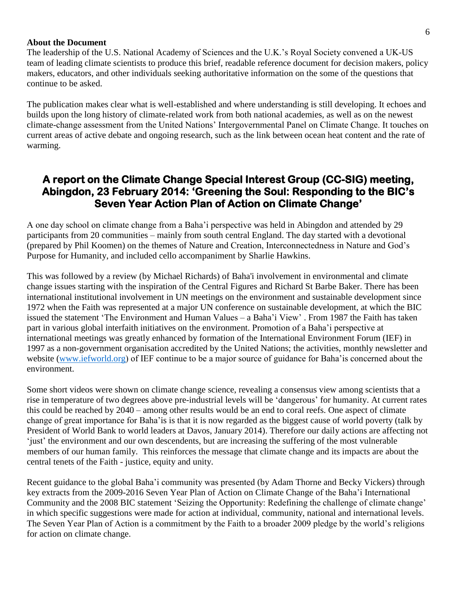#### **About the Document**

The leadership of the U.S. National Academy of Sciences and the U.K.'s Royal Society convened a UK-US team of leading climate scientists to produce this brief, readable reference document for decision makers, policy makers, educators, and other individuals seeking authoritative information on the some of the questions that continue to be asked.

The publication makes clear what is well-established and where understanding is still developing. It echoes and builds upon the long history of climate-related work from both national academies, as well as on the newest climate-change assessment from the United Nations' Intergovernmental Panel on Climate Change. It touches on current areas of active debate and ongoing research, such as the link between ocean heat content and the rate of warming.

#### **A report on the Climate Change Special Interest Group (CC-SIG) meeting, Abingdon, 23 February 2014: 'Greening the Soul: Responding to the BIC's Seven Year Action Plan of Action on Climate Change'**

A one day school on climate change from a Baha'i perspective was held in Abingdon and attended by 29 participants from 20 communities – mainly from south central England. The day started with a devotional (prepared by Phil Koomen) on the themes of Nature and Creation, Interconnectedness in Nature and God's Purpose for Humanity, and included cello accompaniment by Sharlie Hawkins.

This was followed by a review (by Michael Richards) of Baha'i involvement in environmental and climate change issues starting with the inspiration of the Central Figures and Richard St Barbe Baker. There has been international institutional involvement in UN meetings on the environment and sustainable development since 1972 when the Faith was represented at a major UN conference on sustainable development, at which the BIC issued the statement 'The Environment and Human Values – a Baha'i View' . From 1987 the Faith has taken part in various global interfaith initiatives on the environment. Promotion of a Baha'i perspective at international meetings was greatly enhanced by formation of the International Environment Forum (IEF) in 1997 as a non-government organisation accredited by the United Nations; the activities, monthly newsletter and website [\(www.iefworld.org\)](http://www.iefworld.org/) of IEF continue to be a major source of guidance for Baha'is concerned about the environment.

Some short videos were shown on climate change science, revealing a consensus view among scientists that a rise in temperature of two degrees above pre-industrial levels will be 'dangerous' for humanity. At current rates this could be reached by 2040 – among other results would be an end to coral reefs. One aspect of climate change of great importance for Baha'is is that it is now regarded as the biggest cause of world poverty (talk by President of World Bank to world leaders at Davos, January 2014). Therefore our daily actions are affecting not 'just' the environment and our own descendents, but are increasing the suffering of the most vulnerable members of our human family. This reinforces the message that climate change and its impacts are about the central tenets of the Faith - justice, equity and unity.

Recent guidance to the global Baha'i community was presented (by Adam Thorne and Becky Vickers) through key extracts from the 2009-2016 Seven Year Plan of Action on Climate Change of the Baha'i International Community and the 2008 BIC statement 'Seizing the Opportunity: Redefining the challenge of climate change' in which specific suggestions were made for action at individual, community, national and international levels. The Seven Year Plan of Action is a commitment by the Faith to a broader 2009 pledge by the world's religions for action on climate change.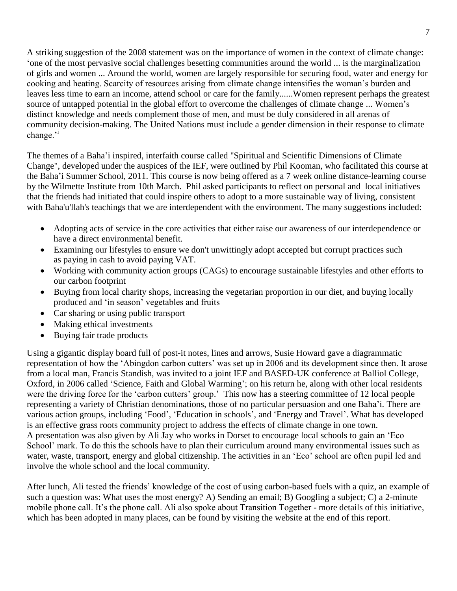A striking suggestion of the 2008 statement was on the importance of women in the context of climate change: 'one of the most pervasive social challenges besetting communities around the world ... is the marginalization of girls and women ... Around the world, women are largely responsible for securing food, water and energy for cooking and heating. Scarcity of resources arising from climate change intensifies the woman's burden and leaves less time to earn an income, attend school or care for the family......Women represent perhaps the greatest source of untapped potential in the global effort to overcome the challenges of climate change ... Women's distinct knowledge and needs complement those of men, and must be duly considered in all arenas of community decision-making. The United Nations must include a gender dimension in their response to climate change.<sup>'i</sup>

The themes of a Baha'i inspired, interfaith course called "Spiritual and Scientific Dimensions of Climate Change", developed under the auspices of the IEF, were outlined by Phil Kooman, who facilitated this course at the Baha'i Summer School, 2011. This course is now being offered as a 7 week online distance-learning course by the Wilmette Institute from 10th March. Phil asked participants to reflect on personal and local initiatives that the friends had initiated that could inspire others to adopt to a more sustainable way of living, consistent with Baha'u'llah's teachings that we are interdependent with the environment. The many suggestions included:

- Adopting acts of service in the core activities that either raise our awareness of our interdependence or have a direct environmental benefit.
- Examining our lifestyles to ensure we don't unwittingly adopt accepted but corrupt practices such as paying in cash to avoid paying VAT.
- Working with community action groups (CAGs) to encourage sustainable lifestyles and other efforts to our carbon footprint
- Buying from local charity shops, increasing the vegetarian proportion in our diet, and buying locally produced and 'in season' vegetables and fruits
- Car sharing or using public transport
- Making ethical investments
- Buying fair trade products

Using a gigantic display board full of post-it notes, lines and arrows, Susie Howard gave a diagrammatic representation of how the 'Abingdon carbon cutters' was set up in 2006 and its development since then. It arose from a local man, Francis Standish, was invited to a joint IEF and BASED-UK conference at Balliol College, Oxford, in 2006 called 'Science, Faith and Global Warming'; on his return he, along with other local residents were the driving force for the 'carbon cutters' group.' This now has a steering committee of 12 local people representing a variety of Christian denominations, those of no particular persuasion and one Baha'i. There are various action groups, including 'Food', 'Education in schools', and 'Energy and Travel'. What has developed is an effective grass roots community project to address the effects of climate change in one town. A presentation was also given by Ali Jay who works in Dorset to encourage local schools to gain an 'Eco School' mark. To do this the schools have to plan their curriculum around many environmental issues such as water, waste, transport, energy and global citizenship. The activities in an 'Eco' school are often pupil led and involve the whole school and the local community.

After lunch, Ali tested the friends' knowledge of the cost of using carbon-based fuels with a quiz, an example of such a question was: What uses the most energy? A) Sending an email; B) Googling a subject; C) a 2-minute mobile phone call. It's the phone call. Ali also spoke about Transition Together - more details of this initiative, which has been adopted in many places, can be found by visiting the website at the end of this report.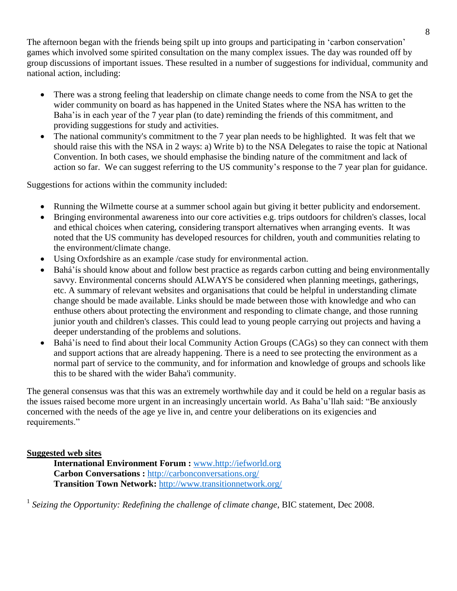The afternoon began with the friends being spilt up into groups and participating in 'carbon conservation' games which involved some spirited consultation on the many complex issues. The day was rounded off by group discussions of important issues. These resulted in a number of suggestions for individual, community and national action, including:

- There was a strong feeling that leadership on climate change needs to come from the NSA to get the wider community on board as has happened in the United States where the NSA has written to the Baha' is in each year of the 7 year plan (to date) reminding the friends of this commitment, and providing suggestions for study and activities.
- The national community's commitment to the 7 year plan needs to be highlighted. It was felt that we should raise this with the NSA in 2 ways: a) Write b) to the NSA Delegates to raise the topic at National Convention. In both cases, we should emphasise the binding nature of the commitment and lack of action so far. We can suggest referring to the US community's response to the 7 year plan for guidance.

Suggestions for actions within the community included:

- Running the Wilmette course at a summer school again but giving it better publicity and endorsement.
- Bringing environmental awareness into our core activities e.g. trips outdoors for children's classes, local and ethical choices when catering, considering transport alternatives when arranging events. It was noted that the US community has developed resources for children, youth and communities relating to the environment/climate change.
- Using Oxfordshire as an example /case study for environmental action.
- Bahá'ís should know about and follow best practice as regards carbon cutting and being environmentally savvy. Environmental concerns should ALWAYS be considered when planning meetings, gatherings, etc. A summary of relevant websites and organisations that could be helpful in understanding climate change should be made available. Links should be made between those with knowledge and who can enthuse others about protecting the environment and responding to climate change, and those running junior youth and children's classes. This could lead to young people carrying out projects and having a deeper understanding of the problems and solutions.
- Bahá'ís need to find about their local Community Action Groups (CAGs) so they can connect with them and support actions that are already happening. There is a need to see protecting the environment as a normal part of service to the community, and for information and knowledge of groups and schools like this to be shared with the wider Baha'i community.

The general consensus was that this was an extremely worthwhile day and it could be held on a regular basis as the issues raised become more urgent in an increasingly uncertain world. As Baha'u'llah said: "Be anxiously concerned with the needs of the age ye live in, and centre your deliberations on its exigencies and requirements."

#### **Suggested web sites**

**International Environment Forum :** [www.http://iefworld.org](http://www.http/iefworld.org) **Carbon Conversations :** <http://carbonconversations.org/> **Transition Town Network:** <http://www.transitionnetwork.org/>

<sup>1</sup> Seizing the Opportunity: Redefining the challenge of climate change, BIC statement, Dec 2008.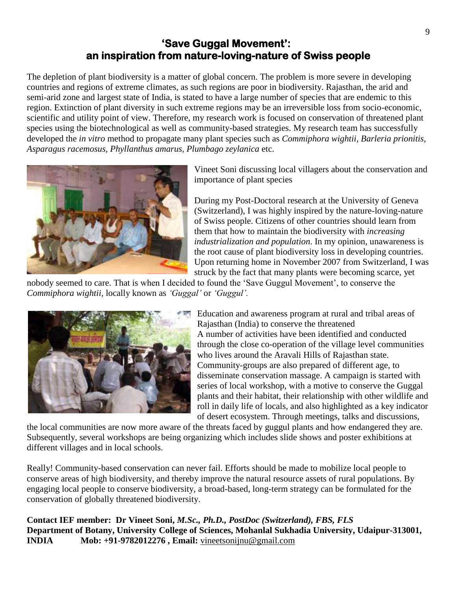#### **'Save Guggal Movement': an inspiration from nature-loving-nature of Swiss people**

The depletion of plant biodiversity is a matter of global concern. The problem is more severe in developing countries and regions of extreme climates, as such regions are poor in biodiversity. Rajasthan, the arid and semi-arid zone and largest state of India, is stated to have a large number of species that are endemic to this region. Extinction of plant diversity in such extreme regions may be an irreversible loss from socio-economic, scientific and utility point of view. Therefore, my research work is focused on conservation of threatened plant species using the biotechnological as well as community-based strategies. My research team has successfully developed the *in vitro* method to propagate many plant species such as *Commiphora wightii, Barleria prionitis, Asparagus racemosus, Phyllanthus amarus, Plumbago zeylanica* etc.



Vineet Soni discussing local villagers about the conservation and importance of plant species

During my Post-Doctoral research at the University of Geneva (Switzerland), I was highly inspired by the nature-loving-nature of Swiss people. Citizens of other countries should learn from them that how to maintain the biodiversity with *increasing industrialization and population*. In my opinion, unawareness is the root cause of plant biodiversity loss in developing countries. Upon returning home in November 2007 from Switzerland, I was struck by the fact that many plants were becoming scarce, yet

nobody seemed to care. That is when I decided to found the 'Save Guggul Movement', to conserve the *Commiphora wightii,* locally known as *'Guggal'* or *'Guggul'.*



Education and awareness program at rural and tribal areas of Rajasthan (India) to conserve the threatened A number of activities have been identified and conducted through the close co-operation of the village level communities who lives around the Aravali Hills of Rajasthan state. Community-groups are also prepared of different age, to disseminate conservation massage. A campaign is started with series of local workshop, with a motive to conserve the Guggal plants and their habitat, their relationship with other wildlife and roll in daily life of locals, and also highlighted as a key indicator of desert ecosystem. Through meetings, talks and discussions,

the local communities are now more aware of the threats faced by guggul plants and how endangered they are. Subsequently, several workshops are being organizing which includes slide shows and poster exhibitions at different villages and in local schools.

Really! Community-based conservation can never fail. Efforts should be made to mobilize local people to conserve areas of high biodiversity, and thereby improve the natural resource assets of rural populations. By engaging local people to conserve biodiversity, a broad-based, long-term strategy can be formulated for the conservation of globally threatened biodiversity.

**Contact IEF member: Dr Vineet Soni,** *M.Sc., Ph.D., PostDoc (Switzerland), FBS, FLS* **Department of Botany, University College of Sciences, Mohanlal Sukhadia University, Udaipur-313001, INDIA Mob: +91-9782012276 , Email:** [vineetsonijnu@gmail.com](mailto:vineetsonijnu@gmail.com)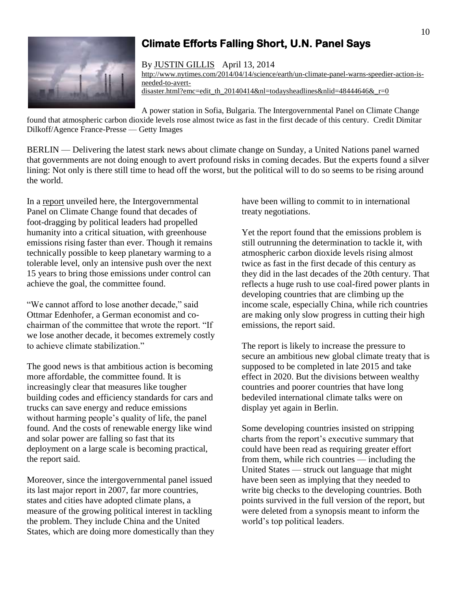

### **Climate Efforts Falling Short, U.N. Panel Says**

By [JUSTIN GILLIS](http://topics.nytimes.com/top/reference/timestopics/people/g/justin_gillis/index.html) April 13, 2014

[http://www.nytimes.com/2014/04/14/science/earth/un-climate-panel-warns-speedier-action-is](http://www.nytimes.com/2014/04/14/science/earth/un-climate-panel-warns-speedier-action-is-needed-to-avert-disaster.html?emc=edit_th_20140414&nl=todaysheadlines&nlid=48444646&_r=0)[needed-to-avert](http://www.nytimes.com/2014/04/14/science/earth/un-climate-panel-warns-speedier-action-is-needed-to-avert-disaster.html?emc=edit_th_20140414&nl=todaysheadlines&nlid=48444646&_r=0)[disaster.html?emc=edit\\_th\\_20140414&nl=todaysheadlines&nlid=48444646&\\_r=0](http://www.nytimes.com/2014/04/14/science/earth/un-climate-panel-warns-speedier-action-is-needed-to-avert-disaster.html?emc=edit_th_20140414&nl=todaysheadlines&nlid=48444646&_r=0)

A power station in Sofia, Bulgaria. The Intergovernmental Panel on Climate Change found that atmospheric carbon dioxide levels rose almost twice as fast in the first decade of this century. Credit Dimitar Dilkoff/Agence France-Presse — Getty Images

BERLIN — Delivering the latest stark news about climate change on Sunday, a United Nations panel warned that governments are not doing enough to avert profound risks in coming decades. But the experts found a silver lining: Not only is there still time to head off the worst, but the political will to do so seems to be rising around the world.

In a [report](http://www.ipcc.ch/index.htm) unveiled here, the Intergovernmental Panel on Climate Change found that decades of foot-dragging by political leaders had propelled humanity into a critical situation, with greenhouse emissions rising faster than ever. Though it remains technically possible to keep planetary warming to a tolerable level, only an intensive push over the next 15 years to bring those emissions under control can achieve the goal, the committee found.

"We cannot afford to lose another decade," said Ottmar Edenhofer, a German economist and cochairman of the committee that wrote the report. "If we lose another decade, it becomes extremely costly to achieve climate stabilization."

The good news is that ambitious action is becoming more affordable, the committee found. It is increasingly clear that measures like tougher building codes and efficiency standards for cars and trucks can save energy and reduce emissions without harming people's quality of life, the panel found. And the costs of renewable energy like wind and solar power are falling so fast that its deployment on a large scale is becoming practical, the report said.

Moreover, since the intergovernmental panel issued its last major report in 2007, far more countries, states and cities have adopted climate plans, a measure of the growing political interest in tackling the problem. They include China and the United States, which are doing more domestically than they have been willing to commit to in international treaty negotiations.

Yet the report found that the emissions problem is still outrunning the determination to tackle it, with atmospheric carbon dioxide levels rising almost twice as fast in the first decade of this century as they did in the last decades of the 20th century. That reflects a huge rush to use coal-fired power plants in developing countries that are climbing up the income scale, especially China, while rich countries are making only slow progress in cutting their high emissions, the report said.

The report is likely to increase the pressure to secure an ambitious new global climate treaty that is supposed to be completed in late 2015 and take effect in 2020. But the divisions between wealthy countries and poorer countries that have long bedeviled international climate talks were on display yet again in Berlin.

Some developing countries insisted on stripping charts from the report's executive summary that could have been read as requiring greater effort from them, while rich countries — including the United States — struck out language that might have been seen as implying that they needed to write big checks to the developing countries. Both points survived in the full version of the report, but were deleted from a synopsis meant to inform the world's top political leaders.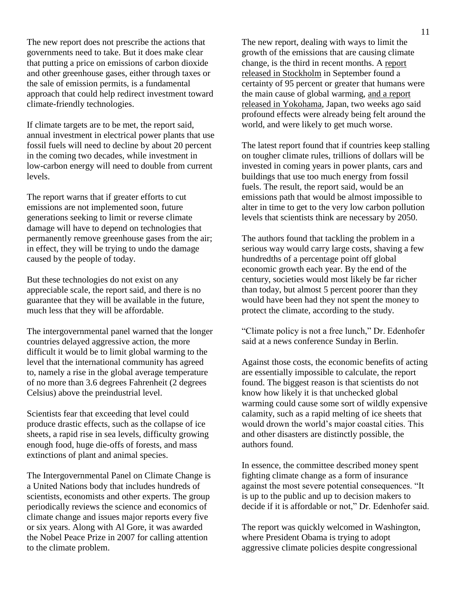The new report does not prescribe the actions that governments need to take. But it does make clear that putting a price on emissions of carbon dioxide and other greenhouse gases, either through taxes or the sale of emission permits, is a fundamental approach that could help redirect investment toward climate-friendly technologies.

If climate targets are to be met, the report said, annual investment in electrical power plants that use fossil fuels will need to decline by about 20 percent in the coming two decades, while investment in low-carbon energy will need to double from current levels.

The report warns that if greater efforts to cut emissions are not implemented soon, future generations seeking to limit or reverse climate damage will have to depend on technologies that permanently remove greenhouse gases from the air; in effect, they will be trying to undo the damage caused by the people of today.

But these technologies do not exist on any appreciable scale, the report said, and there is no guarantee that they will be available in the future, much less that they will be affordable.

The intergovernmental panel warned that the longer countries delayed aggressive action, the more difficult it would be to limit global warming to the level that the international community has agreed to, namely a rise in the global average temperature of no more than 3.6 degrees Fahrenheit (2 degrees Celsius) above the preindustrial level.

Scientists fear that exceeding that level could produce drastic effects, such as the collapse of ice sheets, a rapid rise in sea levels, difficulty growing enough food, huge die-offs of forests, and mass extinctions of plant and animal species.

The Intergovernmental Panel on Climate Change is a United Nations body that includes hundreds of scientists, economists and other experts. The group periodically reviews the science and economics of climate change and issues major reports every five or six years. Along with Al Gore, it was awarded the Nobel Peace Prize in 2007 for calling attention to the climate problem.

The new report, dealing with ways to limit the growth of the emissions that are causing climate change, is the third in recent months. A [report](http://www.nytimes.com/2013/09/28/science/global-climate-change-report.html?pagewanted=all)  [released in Stockholm](http://www.nytimes.com/2013/09/28/science/global-climate-change-report.html?pagewanted=all) in September found a certainty of 95 percent or greater that humans were the main cause of global warming, [and a report](http://www.nytimes.com/2014/04/01/science/earth/climate.html)  [released in Yokohama,](http://www.nytimes.com/2014/04/01/science/earth/climate.html) Japan, two weeks ago said profound effects were already being felt around the world, and were likely to get much worse.

The latest report found that if countries keep stalling on tougher climate rules, trillions of dollars will be invested in coming years in power plants, cars and buildings that use too much energy from fossil fuels. The result, the report said, would be an emissions path that would be almost impossible to alter in time to get to the very low carbon pollution levels that scientists think are necessary by 2050.

The authors found that tackling the problem in a serious way would carry large costs, shaving a few hundredths of a percentage point off global economic growth each year. By the end of the century, societies would most likely be far richer than today, but almost 5 percent poorer than they would have been had they not spent the money to protect the climate, according to the study.

"Climate policy is not a free lunch," Dr. Edenhofer said at a news conference Sunday in Berlin.

Against those costs, the economic benefits of acting are essentially impossible to calculate, the report found. The biggest reason is that scientists do not know how likely it is that unchecked global warming could cause some sort of wildly expensive calamity, such as a rapid melting of ice sheets that would drown the world's major coastal cities. This and other disasters are distinctly possible, the authors found.

In essence, the committee described money spent fighting climate change as a form of insurance against the most severe potential consequences. "It is up to the public and up to decision makers to decide if it is affordable or not," Dr. Edenhofer said.

The report was quickly welcomed in Washington, where President Obama is trying to adopt aggressive climate policies despite congressional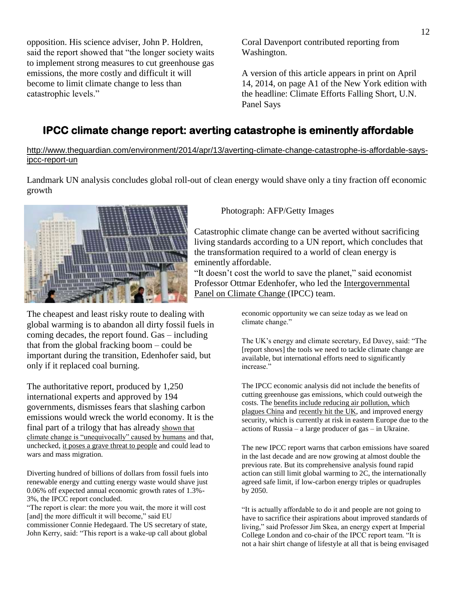opposition. His science adviser, John P. Holdren, said the report showed that "the longer society waits to implement strong measures to cut greenhouse gas emissions, the more costly and difficult it will become to limit climate change to less than catastrophic levels."

Coral Davenport contributed reporting from Washington.

A version of this article appears in print on April 14, 2014, on page A1 of the New York edition with the headline: Climate Efforts Falling Short, U.N. Panel Says

#### **IPCC climate change report: averting catastrophe is eminently affordable**

[http://www.theguardian.com/environment/2014/apr/13/averting-climate-change-catastrophe-is-affordable-says](http://www.theguardian.com/environment/2014/apr/13/averting-climate-change-catastrophe-is-affordable-says-ipcc-report-un)[ipcc-report-un](http://www.theguardian.com/environment/2014/apr/13/averting-climate-change-catastrophe-is-affordable-says-ipcc-report-un)

Landmark UN analysis concludes global roll-out of clean energy would shave only a tiny fraction off economic growth



The cheapest and least risky route to dealing with global warming is to abandon all dirty fossil fuels in coming decades, the report found. Gas – including that from the global fracking boom – could be important during the transition, Edenhofer said, but only if it replaced coal burning.

The authoritative report, produced by 1,250 international experts and approved by 194 governments, dismisses fears that slashing carbon emissions would wreck the world economy. It is the final part of a trilogy that has already [shown that](http://www.theguardian.com/environment/2013/sep/27/ipcc-world-dangerous-climate-change)  [climate change is "unequivocally" caused by humans](http://www.theguardian.com/environment/2013/sep/27/ipcc-world-dangerous-climate-change) and that, unchecked, [it poses a grave threat to people](http://www.theguardian.com/environment/2014/mar/31/climate-change-threat-food-security-humankind) and could lead to wars and mass migration.

Diverting hundred of billions of dollars from fossil fuels into renewable energy and cutting energy waste would shave just 0.06% off expected annual economic growth rates of 1.3%- 3%, the IPCC report concluded.

"The report is clear: the more you wait, the more it will cost [and] the more difficult it will become," said EU

commissioner Connie Hedegaard. The US secretary of state, John Kerry, said: "This report is a wake-up call about global Photograph: AFP/Getty Images

Catastrophic climate change can be averted without sacrificing living standards according to a UN report, which concludes that the transformation required to a world of clean energy is eminently affordable.

"It doesn't cost the world to save the planet," said economist Professor Ottmar Edenhofer, who led the [Intergovernmental](http://www.ipcc.ch/)  [Panel on Climate Change \(](http://www.ipcc.ch/)IPCC) team.

> economic opportunity we can seize today as we lead on climate change."

The UK's energy and climate secretary, Ed Davey, said: "The [report shows] the tools we need to tackle climate change are available, but international efforts need to significantly increase."

The IPCC economic analysis did not include the benefits of cutting greenhouse gas emissions, which could outweigh the costs. The [benefits include reducing air pollution, which](http://www.theguardian.com/world/2014/feb/25/china-toxic-air-pollution-nuclear-winter-scientists)  [plagues China](http://www.theguardian.com/world/2014/feb/25/china-toxic-air-pollution-nuclear-winter-scientists) and [recently hit the UK,](http://www.theguardian.com/environment/2014/apr/10/kesington-chelsea-most-polluted-air-uk-public-health-england-report) and improved energy security, which is currently at risk in eastern Europe due to the actions of Russia – a large producer of gas – in Ukraine.

The new IPCC report warns that carbon emissions have soared in the last decade and are now growing at almost double the previous rate. But its comprehensive analysis found rapid action can still limit global warming to 2C, the internationally agreed safe limit, if low-carbon energy triples or quadruples by 2050.

"It is actually affordable to do it and people are not going to have to sacrifice their aspirations about improved standards of living," said Professor Jim Skea, an energy expert at Imperial College London and co-chair of the IPCC report team. "It is not a hair shirt change of lifestyle at all that is being envisaged